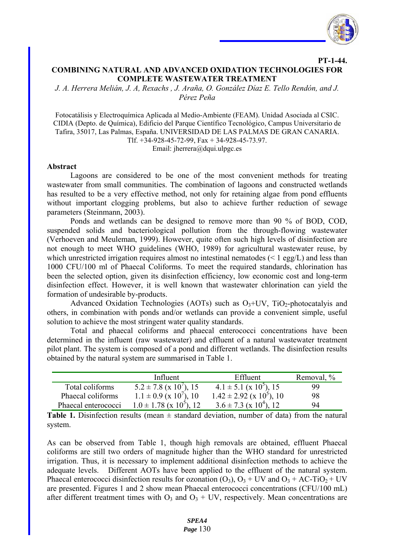

**PT-1-44.** 

## **COMBINING NATURAL AND ADVANCED OXIDATION TECHNOLOGIES FOR COMPLETE WASTEWATER TREATMENT**

*J. A. Herrera Melián, J. A, Rexachs , J. Araña, O. González Díaz E. Tello Rendón, and J. Pérez Peña*

Fotocatálisis y Electroquímica Aplicada al Medio-Ambiente (FEAM). Unidad Asociada al CSIC. CIDIA (Depto. de Química), Edificio del Parque Científico Tecnológico, Campus Universitario de Tafira, 35017, Las Palmas, España. UNIVERSIDAD DE LAS PALMAS DE GRAN CANARIA. Tlf. +34-928-45-72-99, Fax + 34-928-45-73.97. Email: jherrera@dqui.ulpgc.es

## **Abstract**

 Lagoons are considered to be one of the most convenient methods for treating wastewater from small communities. The combination of lagoons and constructed wetlands has resulted to be a very effective method, not only for retaining algae from pond effluents without important clogging problems, but also to achieve further reduction of sewage parameters (Steinmann, 2003).

 Ponds and wetlands can be designed to remove more than 90 % of BOD, COD, suspended solids and bacteriological pollution from the through-flowing wastewater (Verhoeven and Meuleman, 1999). However, quite often such high levels of disinfection are not enough to meet WHO guidelines (WHO, 1989) for agricultural wastewater reuse, by which unrestricted irrigation requires almost no intestinal nematodes  $($   $\leq$  1 egg/L) and less than 1000 CFU/100 ml of Phaecal Coliforms. To meet the required standards, chlorination has been the selected option, given its disinfection efficiency, low economic cost and long-term disinfection effect. However, it is well known that wastewater chlorination can yield the formation of undesirable by-products.

Advanced Oxidation Technologies (AOTs) such as  $O<sub>3</sub>+UV$ , TiO<sub>2</sub>-photocatalyis and others, in combination with ponds and/or wetlands can provide a convenient simple, useful solution to achieve the most stringent water quality standards.

 Total and phaecal coliforms and phaecal enterococci concentrations have been determined in the influent (raw wastewater) and effluent of a natural wastewater treatment pilot plant. The system is composed of a pond and different wetlands. The disinfection results obtained by the natural system are summarised in Table 1.

|                     | Influent                               | Effluent                               | Removal, % |
|---------------------|----------------------------------------|----------------------------------------|------------|
| Total coliforms     | $5.2 \pm 7.8$ (x 10 <sup>7</sup> ), 15 | $4.1 \pm 5.1$ (x 10 <sup>5</sup> ), 15 | 99         |
| Phaecal coliforms   | $1.1 \pm 0.9$ (x $10^{7}$ ), 10        | $1.42 \pm 2.92$ (x $10^5$ ), 10        | 98         |
| Phaecal enterococci | $1.0 \pm 1.78$ (x $10^5$ ), 12         | $3.6 \pm 7.3$ (x 10 <sup>4</sup> ), 12 | 94         |

**Table 1.** Disinfection results (mean  $\pm$  standard deviation, number of data) from the natural system.

As can be observed from Table 1, though high removals are obtained, effluent Phaecal coliforms are still two orders of magnitude higher than the WHO standard for unrestricted irrigation. Thus, it is necessary to implement additional disinfection methods to achieve the adequate levels. Different AOTs have been applied to the effluent of the natural system. Phaecal enterococci disinfection results for ozonation  $(O_3)$ ,  $O_3$  + UV and  $O_3$  + AC-TiO<sub>2</sub> + UV are presented. Figures 1 and 2 show mean Phaecal enterococci concentrations (CFU/100 mL) after different treatment times with  $O_3$  and  $O_3$  + UV, respectively. Mean concentrations are